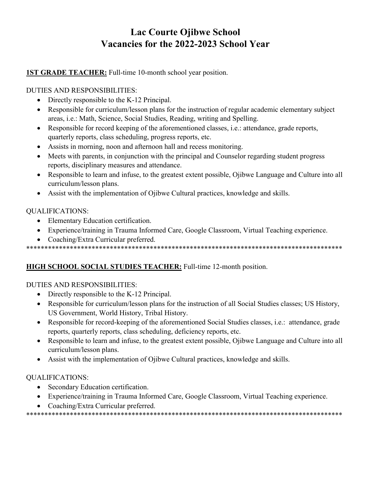# **Lac Courte Ojibwe School Vacancies for the 2022-2023 School Year**

# **1ST GRADE TEACHER:** Full-time 10-month school year position.

# DUTIES AND RESPONSIBILITIES:

- Directly responsible to the K-12 Principal.
- Responsible for curriculum/lesson plans for the instruction of regular academic elementary subject areas, i.e.: Math, Science, Social Studies, Reading, writing and Spelling.
- Responsible for record keeping of the aforementioned classes, i.e.: attendance, grade reports, quarterly reports, class scheduling, progress reports, etc.
- Assists in morning, noon and afternoon hall and recess monitoring.
- Meets with parents, in conjunction with the principal and Counselor regarding student progress reports, disciplinary measures and attendance.
- Responsible to learn and infuse, to the greatest extent possible, Ojibwe Language and Culture into all curriculum/lesson plans.
- Assist with the implementation of Ojibwe Cultural practices, knowledge and skills.

## QUALIFICATIONS:

- Elementary Education certification.
- Experience/training in Trauma Informed Care, Google Classroom, Virtual Teaching experience.
- Coaching/Extra Curricular preferred.

\*\*\*\*\*\*\*\*\*\*\*\*\*\*\*\*\*\*\*\*\*\*\*\*\*\*\*\*\*\*\*\*\*\*\*\*\*\*\*\*\*\*\*\*\*\*\*\*\*\*\*\*\*\*\*\*\*\*\*\*\*\*\*\*\*\*\*\*\*\*\*\*\*\*\*\*\*\*\*\*\*\*\*\*\*\*\*

# **HIGH SCHOOL SOCIAL STUDIES TEACHER:** Full-time 12-month position.

# DUTIES AND RESPONSIBILITIES:

- Directly responsible to the K-12 Principal.
- Responsible for curriculum/lesson plans for the instruction of all Social Studies classes; US History, US Government, World History, Tribal History.
- Responsible for record-keeping of the aforementioned Social Studies classes, i.e.: attendance, grade reports, quarterly reports, class scheduling, deficiency reports, etc.
- Responsible to learn and infuse, to the greatest extent possible, Ojibwe Language and Culture into all curriculum/lesson plans.
- Assist with the implementation of Ojibwe Cultural practices, knowledge and skills.

# QUALIFICATIONS:

- Secondary Education certification.
- Experience/training in Trauma Informed Care, Google Classroom, Virtual Teaching experience.
- Coaching/Extra Curricular preferred.